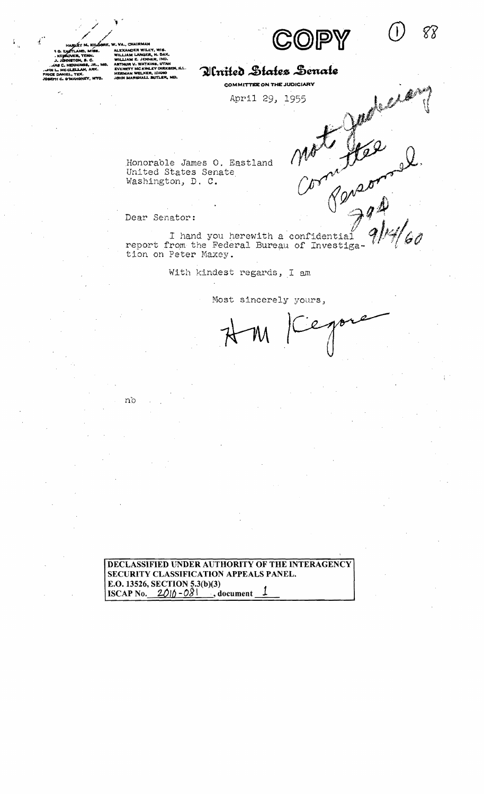$m^2$  for

88

Companion of

VA., CHAIRMAI ALEXANDER WILEY WILLIAM LANGER, N. DAK.<br>WILLIAM E. JENNER, IND. ARTHUR V. WATKINS, UTAH<br>EVERETT MC KINLEY DIRKS MC KINLEY DIRKAEN, ILL. אי ז.<br>אנגמו **MEE** LALA, IDAW<br>IALL BUTLER, MD.

# Alnited States Senate

**COMMITTEE ON THE JUDICIARY** 

April 29, 1955

Honorable James O. Eastland United states Senate Washington, D. C.

nb

Honorable James O. Eastland Motor (11,000)<br>United States Senate<br>Washington, D. C. (11,000)<br>Dear Senator:<br>report from the Federal Bureau of Investiga-11/4/60 I hand you herewith a confidential<br>report from the Federal Bureau of Investigation on Peter Maxey.

With kindest regards, I am

Most sincerely yours,

eno

**DECLASSIFIED UNDER AUTHORITY OF THE INTERAGENCY SECURITY CLASSIFICATION APPEALS PANEL. E.O. 13526, SECTION 5.3(b)(3) ISCAP No.**  $2010 - 081$ , **document**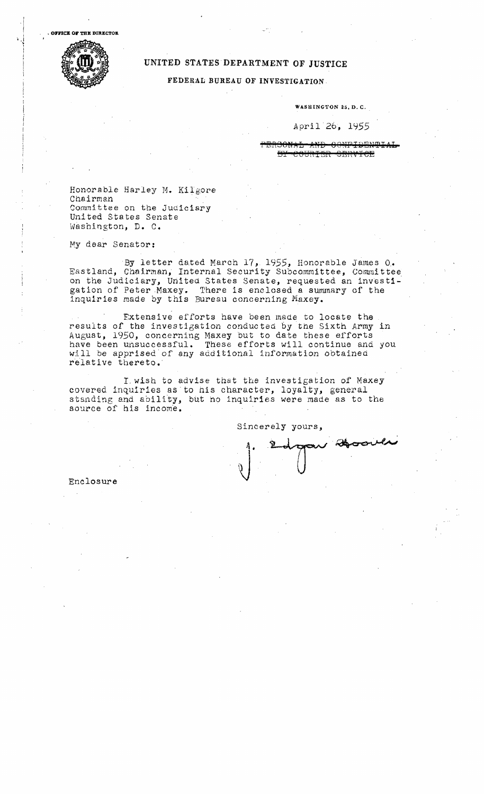$\cdot$  |  $\cdot$ 



# UNITED STATES DEPARTMENT OF JUSTICE

FEDERAL BUREAU OF INVESTIGATION

WASHINGTON 25, D. C. ,

### April 26, 1955

PBRSONAL AND CONFIDENTIAL B<del>Y COURIER OBRVICE</del>

Honorable Harley M. Kilgore Chairman Committee on the Judiciary United States Senate Washington, D. C.

My dear Senator:

By letter dated March 17, 1955, Honorable James O. Eastland, Chairman, Internal Security Subcommittee, Committee on the Judiciary, United States Senate, requested an investigation of Peter Maxey. There is enclosed a summary of the inquiries made by t his Bureau concerning Maxey.

Extensive efforts have been made to locate the results of the investigation conducted by the Sixth Army in August, 1950, concerning Maxey but to date these efforts have been unsuccessful. These efforts will continue and you will be apprised'of any additional information obtained relative thereto.

I.wish to advise that the investigation *or* Maxey covered inquiries as to his character, loyalty, general standing and ability, but no inquiries were made as to the source of his income.

Sincerely yours,

au Boover

Enclosure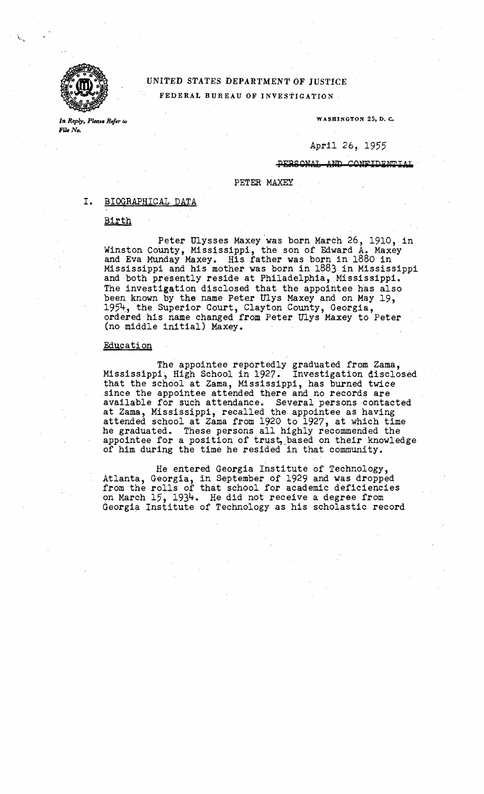

# UNITED STATES DEPARTMENT OF 1USTICE FEDERAL BUREAU OF INVESTIGATION·

File No.

*In. Reply, Please Refer to Physics Refer to a method of the set of the set of the set of the set of the set of the set of the set of the set of the set of the set of the set of the set of the set of the set of the set* 

# April 26, 1955

#### AND CONFIDENTIAL

#### PETER MAXEY

#### I. BIOGRAPHICAL DATA

#### Birth

Peter Ulysses Maxey was born March 26, 1910, in Winston County, Mississippi, the son of Edward A. Maxey and Eva Munday Maxey. His father was born in 1880 in Mississippi and his mother was born in 1883 in Mississippi and both presently reside at Philadelphia, Mississippi. The investigation disclosed that the appointee has also been known by the name Peter Ulys Maxey and on May 19, 1954, the Superior Court, Clayton County, Georgia, ordered his name changed from Peter Ulys Maxey to Peter (no middle initial) Maxey.

#### Education

The appointee reportedly graduated from Zama, Mississippi, High School in 1927. Investigation disclosed that the school at Zama, Mississippi, has burned twice since the appointee attended there and no records are available for such attendance. Several persons contacted at Zama, Mississippi, recalled the appointee as having attended school at Zama from 1920 to 1927, at which time he graduated. These persons all highly recommended the appointee for a position of trust, based on their knowledge of him during the time he resided in that community.

He entered Georgia Institute of Technology, Atlanta, Georgia, in September of 1929 and was dropped from the rolls of that school for academic deficiencies on March 15, 1934. He did not receive a degree from Georgia Institute of Technology as his scholastic record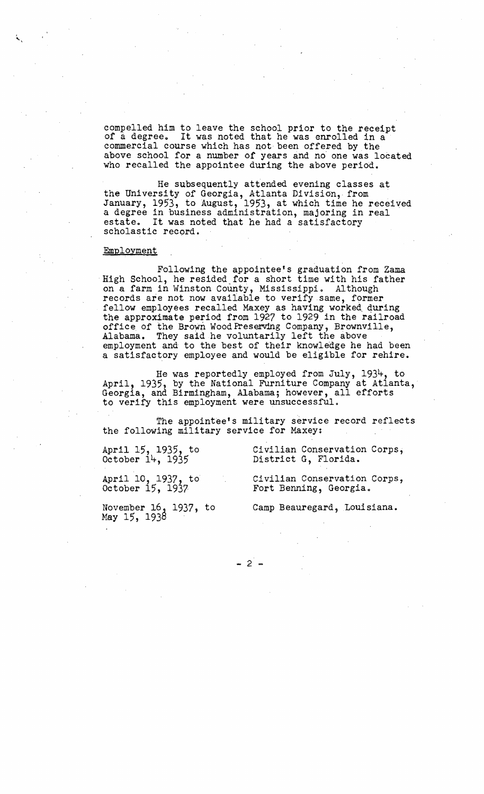compelled him to leave the school prior to the receipt of a degree. It was noted that he was enrolled in a commercial course which has not been offered by the above school for a number of years and no' one was located who recalled the appointee during the above period.

He subsequently attended evening classes at the University of Georgia, Atlanta Division, from • January, 1953, to August, 1953, at which time he received a degree in business administration, majoring in real estate. It was noted that he had a satisfactory scholastic record.

#### Employment

Following the appointee's graduation from Zama ... High School, he resided for a short time with his father on a farm in Winston County, Mississippi. Although records are not now available to verify same, former fellow employees recalled Maxey as having worked, quring the approximate period from 1927 to 1929 in the railroad office of the Brown Wood Preserving Company, Brownville, Alabama. They said he voluntarily left the above employment and to the best of their knowledge he had been a satisfactory employee and would be eligible for rehire.

He was reportedly employed from July, 1934, to April, 1935, by the National Furniture Company at Atlanta, Georgia, and Birmingham, Alabama; however, all efforts to verify this employment were unsuccessful.

The appointee's military service record reflects the following military service for Maxey:

April 15, 1935, to Civilian Conservation Corps,<br>October 14, 1935 District G, Florida. District G, Florida.

April 10, 1937, to Civilian Conservation Corps, October  $15$ ,  $1937$  Fort Benning, Georgia.

May 15, 1938

November 16, 1937, to Camp Beauregard, Louisiana.

 $- 2 -$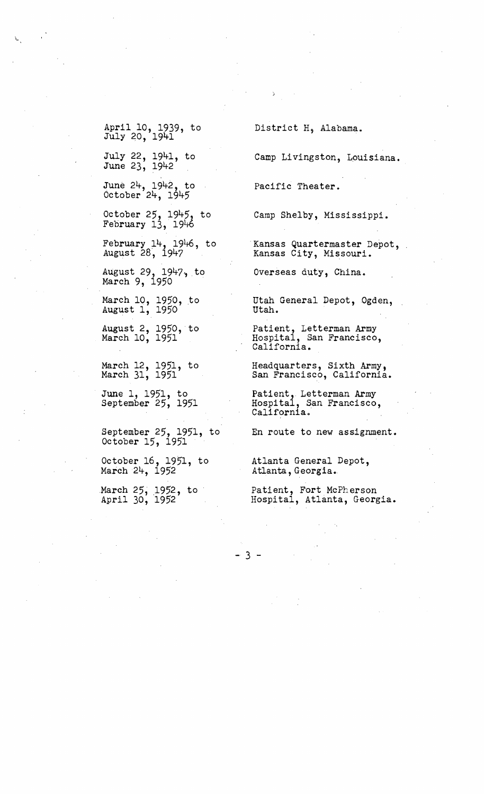April 10, 1939, to July 20, 1941

'

July 22, 1941, to June 23, 1942

June 24, 1942, to October 24, 1945

October 25, 1945, to February 13, 1946

February 14, 1946, to August 28, 1947

August 29, 1947, to March 9, 1950

March 10, 1950, to August 1, 1950

August 2, 1950, to March 10, 1951

March 12, 1951, to March 31, 1951

June 1, 1951, to September 25, 1951

September 25, 1951, to October 15, 1951

October 16, 1951, to March 24, 1952

March 25, 1952, to April 30, 1952

District H, Alabama.

Camp Livingston, Louisiana.

Pacific Theater.

Camp Shelby, Mississippi.

Kansas Quartermaster Depot, Kansas City, Missouri.

Overseas duty, China.

Utah General Depot, Ogden, utah.

Patient, Letterman Army Hospital, San Francisco, California.

Headquarters, Sixth Army, San Francisco, California.

Patient, Letterman Army Hospital, San Francisco, California.

En route to new assignment.

Atlanta General Depot, Atlanta, Georgia.

Patient, Fort McPherson Hospital, Atlanta, Georgia.

 $-3 -$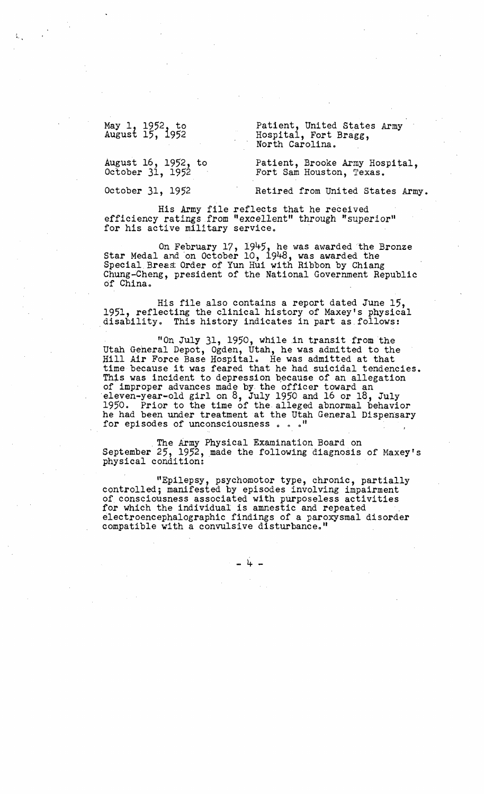May 1, 1952, to Patient, United States Army<br>
August 15, 1952 Hospital, Fort Bragg,<br>
North Carolina.

August 16, 1952, to Patient, Brooke Army Hospital, October 31, 1952

October 31, 1952 Retired from United States Army.

His Army file reflects that he received efficiency ratings from "excellent" through "superior" for his active military service.

On February 17, 1945, he was awarded the Bronze Star Medal and on October 10, 1948, was awarded the Special Breas Order of Yun Hui with Ribbon by Chiang Chung-Cheng, president of the National Government Republic of China.

His file also contains a report dated June 15,<br>1951, reflecting the clinical history of Maxey's physical<br>disability. This history indicates in part as follows:

"On July 31, 1950, while in transit from the Utah General Depot, Ogden, Utah, he was admitted to the Hill Air Force Base Hospital. He was admitted at that time because it was feared that he had suicidal tendencies.<br>This was incident to depression because of an allegation This was incident to depression because of an allegation of improper advances made by the officer toward an eleven-year-old girl on 8, July 1950 and 16 or 18, July 1950. Prior to the time of the. alleged abnormal behavior 1950. Prior to the time of the alleged abnormal behavior he had been under treatment at the Utah General Dispensary for episodes of unconsciousness  $\ldots$  ."

. The Army Physical Examination Board on September 25, 1952, made the following diagnosis of Maxey's physical condition:

"Epilepsy, psychomotor type, chronic, partially controlled; manifested by episodes involving impairment of consciousness associated with purposeless activities electroencephalographic findings of a paroxysmal disorder compatible with a convulsive disturbance."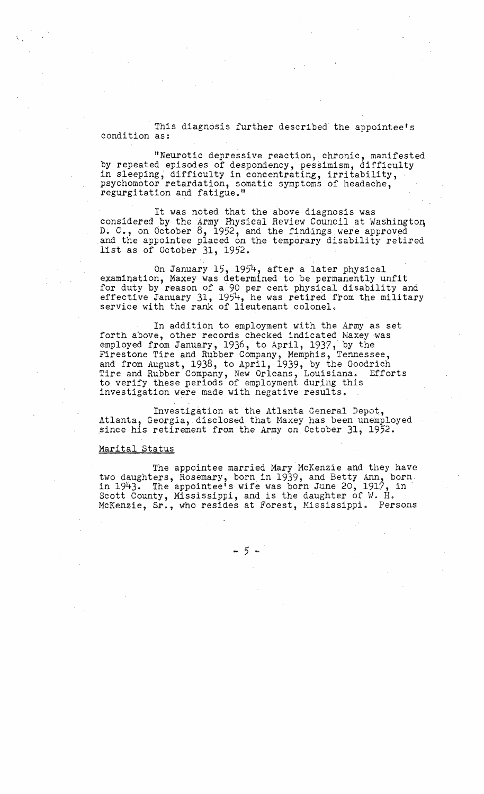This diagnosis further described the appointee's condition as:

"Neurotic depressive reaction, chronic, manifested by repeated episodes of despondency, pessimism, difficulty in sleeping, difficulty in concentrating, irritability, psychomotor retardation, somatic symptoms of headache, regurgitation and fatigue."

It was noted that the above diagnosis was considered by the Army Physical Review Council at Washington D. C., on October  $8$ , 1952, and the findings were approved and the appointee placed on the temporary disability retired list as of October 31, 1952. .

On January 15, 1954, after a later physical examination, Maxey was determined to be permanently unfit for duty by reason of a·90 per cent physical disability and effective January 31, 1954, he was retired from the military service with the rank of lieutenant colonel.

In addition to employment with the Army as set forth above, other records checked indicated Maxey was employed from January, 1936, to April, 1937, by the Firestone Tire and Rubber Company, Memphis, Tennessee, and from August, 1938, to April, 1939, by the Goodrich Tire and Rubber Company, New Orleans, Louisiana. Efforts to verify these periods of employment during this investigation were made with negative results.

Investigation at the Atlanta General Depot, Atlanta, Georgia,.disclosed that Naxey has been unemployed .since his retirement from the Army on October 31, 1952.

#### Marital Status

The appointee married Mary McKenzie and they have two daughters, Rosemary, born in 1939, and Betty Ann, born. in 1943. The appointee's wife vias born June 20, 1917, in Scott County, Mississippi, and is the daughter of W. H. McKenzie, Sr., who resides at Forest, Mississippi. Persons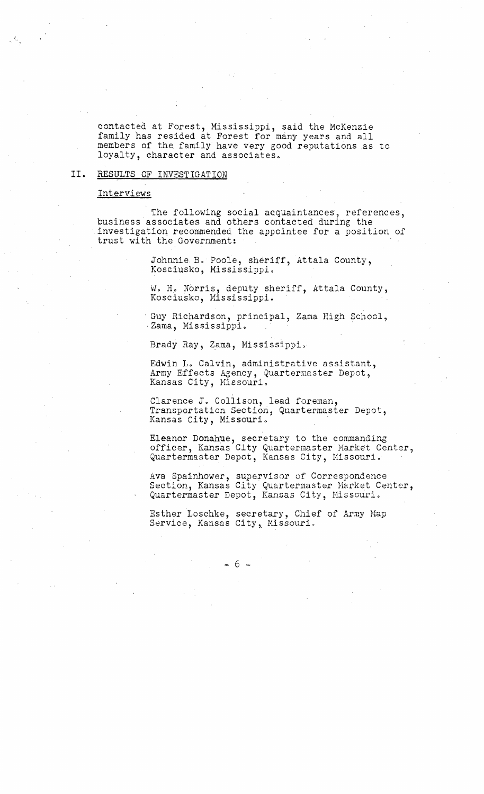contacted at Forest, Mississippi, said the McKenzie family has resided at Forest for many years and all members of the family have very good reputations .as to loyalty, character and associates.

# **II.** RESULTS OF INVESTIGATION

#### Interviews

The following social acquaintances, references,<br>business associates and others contacted during the investigation recommended the appointee for a position of trust with the Government:

Johnnie B. Poole, sheriff, Attala County,<br>Kosciusko, Mississippi.

W. H. Norris, deputy sheriff, Attala County, Kosciusko, Mississippi.

Guy Richardson, principal, Zama High School, Zama, Mississippi.

Brady Ray, Zama, Mississippi.

Edwin L. Calvin, administrative assistant, Army Effects Agency, Quartermaster Depot, Kansas City, Missouri.

Clarence J. Collison, lead foreman, Transportation Section, Quartermaster Depot, Kansas City, Missouri. .

Eleanor Donahue, secretary to the commanding officer, Kansas City Quartermaster Market Center, Quartermaster Depot, Kansas City, Missouri.

Ava Spainhower, supervisor of Correspondence Section, Kansas City Quartermaster Harket Center, Quartermaster Depot, Kansas City, Missouri.

Esther Loschke, secretary, Chief of Army Hap Service, Kansas City, Missouri.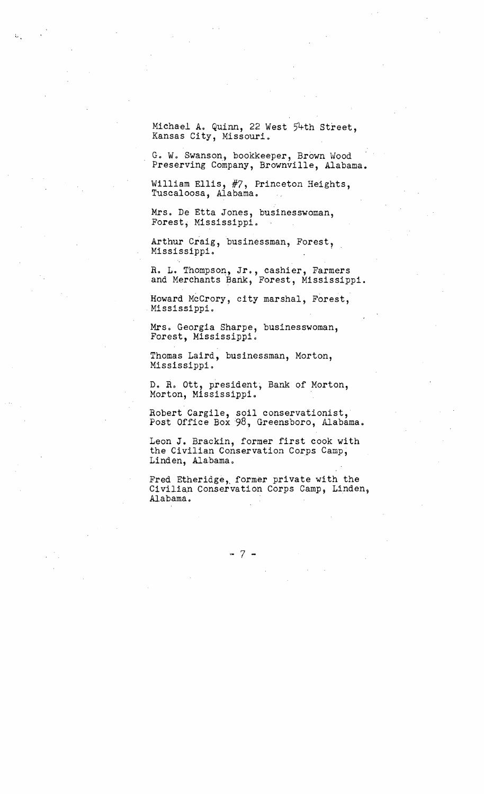Michael A. Quinn, 22 West 54th Street, Kansas City, Missouri.

G. W. Swanson, bookkeeper, Brown Wood Preserving Company, Brownville, Alabama.

William Ellis, #7, Princeton Heights, Tuscaloosa, Alabama.

Mrs. De Etta Jones, businesswoman, Forest, Mississippi.

Arthur Craig, businessman, Forest, Mississippi. .

R. L. Thompson, Jr., cashier, Farmers and Merchants Bank, Forest, Mississippi.

Howard McCrory, city marshal, Forest, Mississippi.

Mrs. Georgia Sharpe, businesswoman, Forest, Mississippi.

Thomas Laird, businessman, Morton, Mississippi.

D. R. ott, president, Bank of Morton, Morton, Mississippi.

Robert Cargile, soil conservationist, Post Office Box 98, Greensboro, Alabama.

Leon J. Brackin, former first cook with the Civilian Conservation Corps Camp, Linden, Alabama.

Fred Etheridge, former private with the Civilian Conservation Corps Camp, Linden, Alabama.

 $-7$  .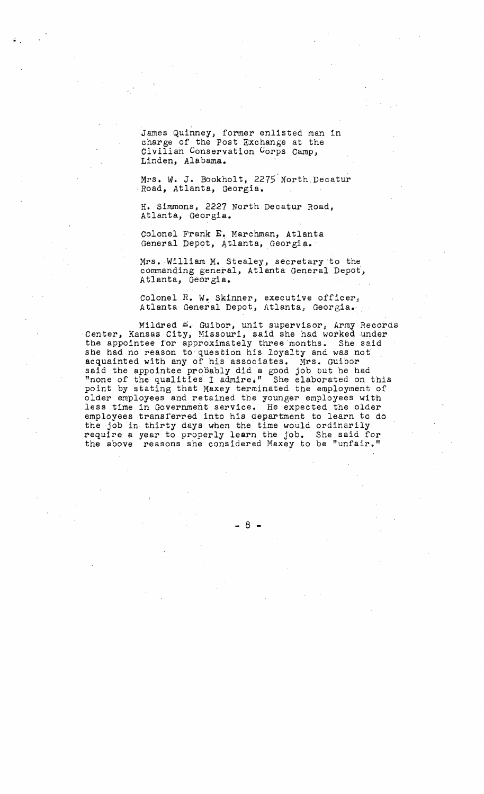James Quinney, former enlisted man in charge of the Post Exchange at the Civilian Conservation Corps Camp, Linden, Alabama.

Mrs. W. J. Bookholt, 2275 North Decatur ,Road, Atlanta, Georgia.

H. Simmons, 2227 North Decatur Road, Atlanta, Georgia.

Colonel Frank E'. Marchman, Atlanta General Depot, At1anta, Georgia.'

Mrs. William M. Stealey, secretary to the commanding general, Atlanta General Depot', Atlanta, Georgia.

Colonel R. W. Skinner, executive officer, Atlanta General Depot, Atlanta, Georgia.

Mildred E. Guibor, unit supervisor, Army Records Center, Kansas City, Missouri, said she had worked under the appointee for approximately three months. She said she had no reason to question his loyalty and was not acquainted with any of his associates. Mrs. Guibor said the appointee probably did a good job but he had "none of the qualities I admire." She elaborated on this point by stating that Maxey terminated the employment of older employees and retained the younger employees with less time in Government service. He expected the older employees transferred into his department to learn to do the job in thirty days when the time would ordinarily require a year to properly learn the job. She said for the above reasons she considered Maxey to be "unfair."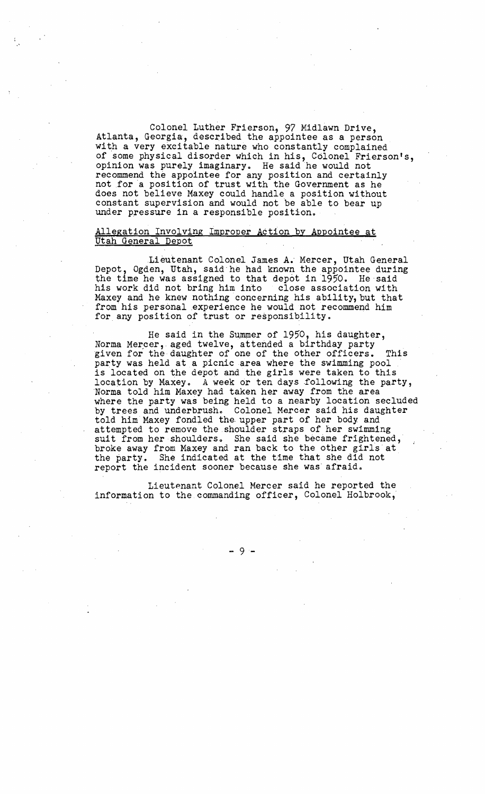Colonel Luther Frierson, 97 Midlawn Drive, Atlanta, Georgia, described the appointee as a person with a very excitable nature who constantly complained of some physical disorder which in his, Colonel Frierson's, opinion was purely imaginary. He said he would not recommend the appointee for any position and certainly not for a position of trust with the Government as he does not believe Maxey could handle a position without constant supervision and would not be able to bear up under pressure in a responsible position.

# Allegation Involving Improper Action by Appointee at Utah General Depot

Lieutenant Colonel James **A.** Mercer, Utah General Depot, Ogden, Utah, said he had known the appointee during the time he was assigned to that depot in 1950. He said his work did not bring him into close association with his work did not bring him into Maxey and he knew nothing concerning his ability,but that from his personal experience he would not recommend him for any position of trust or responsibility.

He said in the Summer of 1950, his daughter, Norma Mercer, aged twelve, attended a birthday party given for the daughter of one of the other officers. This party was held at a picnic area where the swimming pool is located on the depot and the girls were taken to this location by Maxey. A week or ten days following the party, ·Norma told him Maxey had taken her away from the area where the party was being held to a nearby location secluded<br>by trees and underbrush. Colonel Mercer said his daughter by trees and underbrush. Colonel Mercer said his daughter<br>told him Maxey fondled the upper part of her body and attempted to remove the shoulder straps of her swimming suit from her shoulders. She said she became frightened, suit from her shoulders. She said she became frightened, broke away from Maxey and ran back to the other girls at the party. She indicated at the time that she did not report the incident sooner because she was afraid.

Lieutenant Colonel Mercer said he reported the information to the commanding officer, Colonel Holbrook;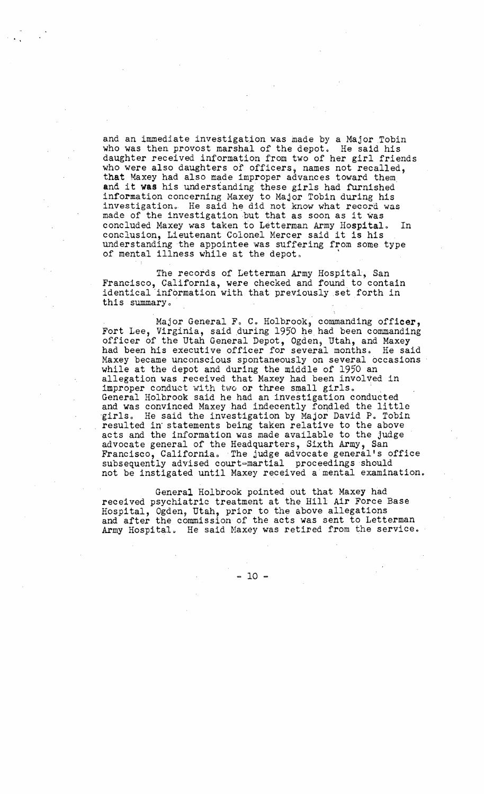and an immediate investigation was made by a Major Tobin who was then provost marshal of the depot. He said his daughter received information from two of her girl friends who were also daughters of officers, names not recalled, that Maxey had also made improper advances toward them. and it **was** his understanding these girls had furnished information concerning Maxey to Major Tobin during his investigation. He said he did not know what record was made of the investigation but that as soon as it was concluded Maxey was taken to Letterman Army Hospital. In conclusion, Lieutenant Colonel Mercer said it is his understanding the appointee was suffering from some type of mental illness while at the depot.

The records of Letterman Army Hospital, San Francisco, California, were checked and found to contain identical information with that previously .set forth in this summary.

Major General F. C. Holbrook, commanding officer, Fort Lee, Virginia, said during 1950 he. had been commanding officer of the Utah General Depot, Ogden, Utah, and Maxey had been his executive officer for several months. He said Maxey became unconscious spontaneously on several occasions while at the depot and during the middle of 1950 an allegation was received that Maxey had been involved in improper conduct with two or three small girls. General Holbrook said he had an investigation conducted and was convinced Maxey had indecently foqdled the little girls. He said the investigation by Major David P. Tobin resulted in" statements being taken relative to the above acts and the information was made available to the judge advocate general of the Headquarters, Sixth Army, San Francisco, California. The judge advocate general's office subsequently advised court=martial proceedings should not be instigated until Maxey received a mental examination.

General Holbrook pointed out that Maxey had received psychiatric treatment at the Hill Air Force Base Hospital, Ogden, Utah, prior to the above allegations and after the commission of the acts was sent to Letterman Army Hospital. He said Maxey was retired from the service.

= 10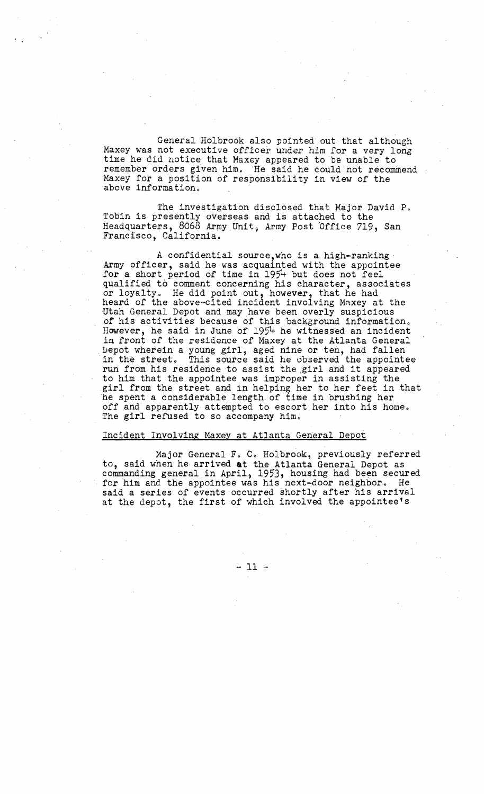General Holbrook also pointed out that although Maxey was not executive officer under him for a very long time he did notice that Maxey appeared to be unable to remember orders given him. He said he could not recommend Maxey for a position of responsibility in view of the above information.

The investigation disclosed that Major David P. Tobin is presently overseas and is attached to the Headquarters, 8068 Army Unit, Army Post Office 719, San Francisco, California.

A confidential source,who is a high-ranking . Army officer, said he·was acquainted with the appointee for a short period of time in 1954 but does not feel qualified to comment concerning his character, associates or loyalty. He did point out, however, that he had heard of the above-cited incident involving Maxey at the Utah General Depot and may have been overly suspicious of his activities because of this background information. However, he said in June of 1954 he witnessed an incident in front of the residence of Maxey at the Atlanta General Depot wherein a young girl, aged nine or ten, had fallen in the street. This source said he observed the appointee run from his residence to assist the girl and it appeared to him that the appointee was improper in assisting the girl from the street and in helping her to her.feet in that 'he spent a considerable length of time in brushing her off and apparently attempted to escort her into his home. The girl refused to so accompany him.

#### Incident Involving Maxey at Atlanta General Depot

Major General F. C. Holbrook, previously referred to, said when he arrived **at** the Atlanta General Depot as commanding general in April, 1953, housing had been secured for him and the appointee was his next-door neighbor. He said a series of events occurred shortly after his arrival at the depot, the first of which involved the appointee's

 $-11 -$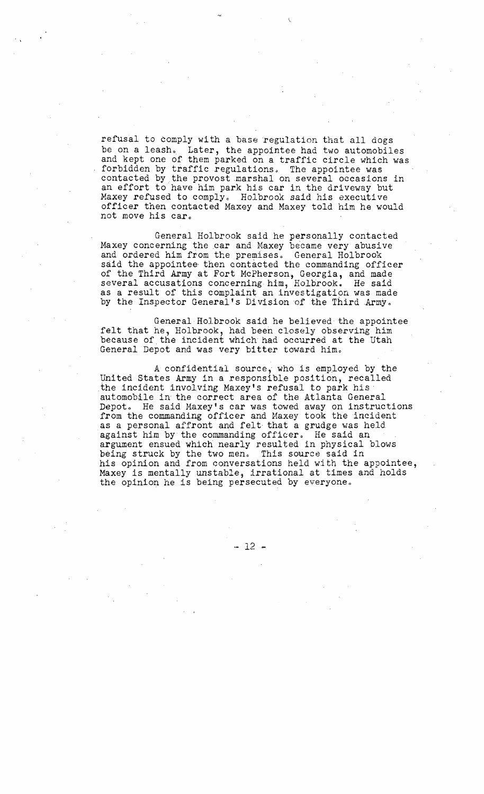refusal to comply with a base regulation that all dogs be on a leash. Later, the appointee had two automobiles and kept one of them parked on a traffic circle which was forbidden by traffic regulations. The appointee was contacted by the provost marshal on several occasions in an effort to have him park his car in the driveway but Maxey refused to comply. Holbrook said his executive officer then contacted Maxey and Maxey told him he would not move his car.

General Holbrook said he personally contacted Maxey concerning the car and Maxey became very abusive and ordered him from the premises. General Holbrook said the appointee then contacted the commanding officer of the Third Army at Fort McPherson, Georgia, and made several accusations concerning him, Holbrook. He said as a result of this complaint an investigation was made by the Inspector General's Division of the Third Army.

General Holbrook said he believed' the, appointee felt that he, Holbrook, had been closely observing him because of the incident which had occurred at the Utah General Depot and was very bitter toward him.

A confidential source, who is employed by the United States Army in a responsible position, recalled the incident involving Maxey's refusal to park his automobile in the correct area of the Atlanta General Depot. He said Maxey's car was towed away on instructions from the commanding officer and Haxey took the incident as a personal affront and felt that a grudge was held against him by the commanding officer. He said an argument ensued which nearly resulted in physical blows being struck by the two men. This source said in his opinion and from conversations held with the appointee, Maxey is mentally unstable, irrational at times and holds the opinion he is being persecuted by everyone.

 $-12 -$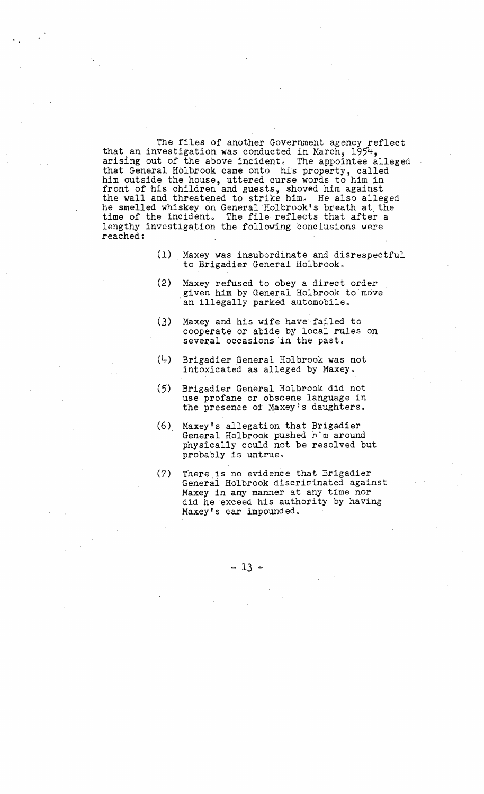The files of another Government agency reflect that an investigation was conducted in March,  $1954$ , arising out of the above incident. The appointee alleged that General Holbrook came onto his property, called him outside the house, uttered curse words to him in front of his children and guests, shoved him against the wall and threatened to strike him. He also alleged he smelled whiskey on General Holbrook's breath at, the time of the incident. The file reflects that after a lengthy investigation the following conclusions were reached:

- (1) Maxey was insubordinate and disrespectful to Brigadier General Holbrook.
- (2) Maxey refused to obey a direct order . given him by General Holbrook to move an illegally parked automobile.
- (3) Maxey and his wife have failed to cooperate or abide by local rules on several occasions in the past.
- (4) Brigadier General Holbrook was not intoxicated as alleged by Maxey.
- (5) Brigadier General Holbrook did not use profane or obscene language in the presence of Maxey's daughters.
- $(6)$  Maxey's allegation that Brigadier General Holbrook pushed him around physically could not be resolved but probably is untrue.
- $(7)$  There is no evidence that Brigadier General Holbrook discriminated against Maxey in any manner at any time nor did he exceed his authority by having Maxey's car impounded.

 $-13 -$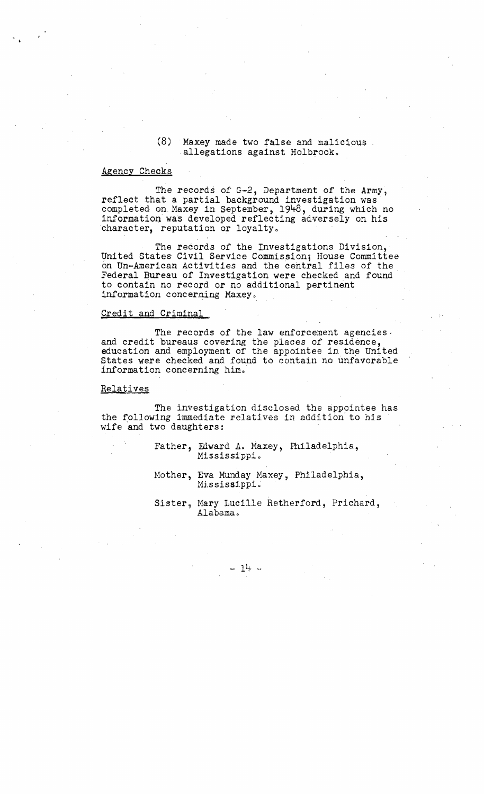# $(8)$  Maxey made two false and malicious. allegations against Holbrook.

### Agency Checks

The records of  $G-2$ , Department of the Army, reflect that a partial background investigation was completed on Maxey in September, 1948, during which no information was developed reflecting adversely on his character, reputation or loyalty.

The records of the Investigations Division, United States Civil Service Commission; House Committee on Un-American Activities and the central files of the Federal Bureau of Investigation were checked and found to contain no record or no additional pertinent information concerning Maxey.

#### Credit and Criminal

The records of the law enforcement agencies. and credit bureaus covering the places of residence, education and employment of the appointee in the United States were checked and found to contain no unfavorable information concerning him.

#### **Relatives**

The investigation disclosed the appointee has the following immediate relatives in addition to his wife and two daughters:

> Father, Edward A. Maxey, Philadelphia, Mississippi.

Mother, Eva Munday Maxey, Philadelphia, Mississippi.

Sister, Mary Lucille Retherford, Prichard, Alabama.

-- 14 ↔